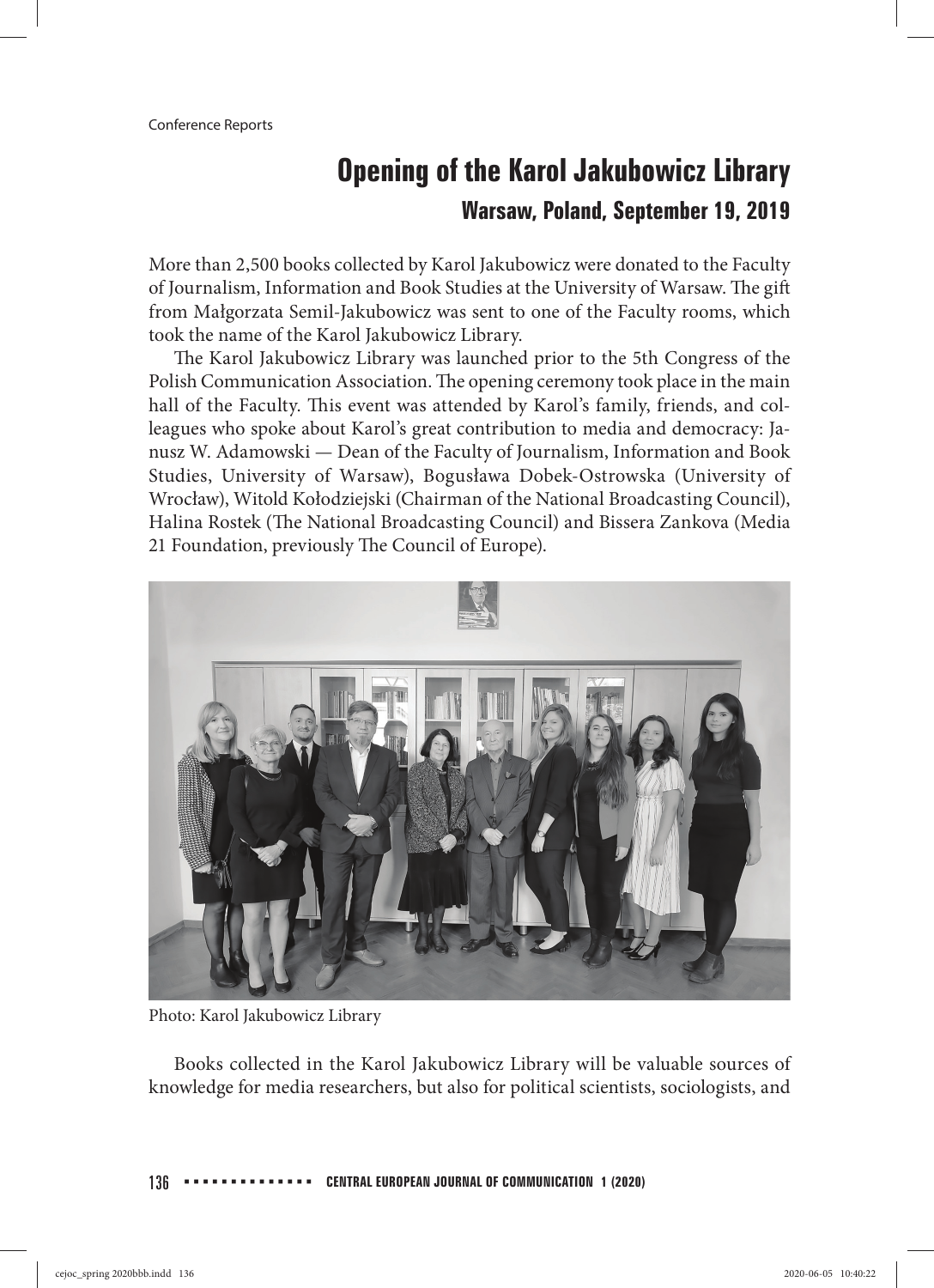## **Opening of the Karol Jakubowicz Library Warsaw, Poland, September 19, 2019**

More than 2,500 books collected by Karol Jakubowicz were donated to the Faculty of Journalism, Information and Book Studies at the University of Warsaw. The gift from Małgorzata Semil-Jakubowicz was sent to one of the Faculty rooms, which took the name of the Karol Jakubowicz Library.

The Karol Jakubowicz Library was launched prior to the 5th Congress of the Polish Communication Association. The opening ceremony took place in the main hall of the Faculty. This event was attended by Karol's family, friends, and colleagues who spoke about Karol's great contribution to media and democracy: Janusz W. Adamowski — Dean of the Faculty of Journalism, Information and Book Studies, University of Warsaw), Bogusława Dobek-Ostrowska (University of Wrocław), Witold Kołodziejski (Chairman of the National Broadcasting Council), Halina Rostek (The National Broadcasting Council) and Bissera Zankova (Media 21 Foundation, previously The Council of Europe).



Photo: Karol Jakubowicz Library

Books collected in the Karol Jakubowicz Library will be valuable sources of knowledge for media researchers, but also for political scientists, sociologists, and